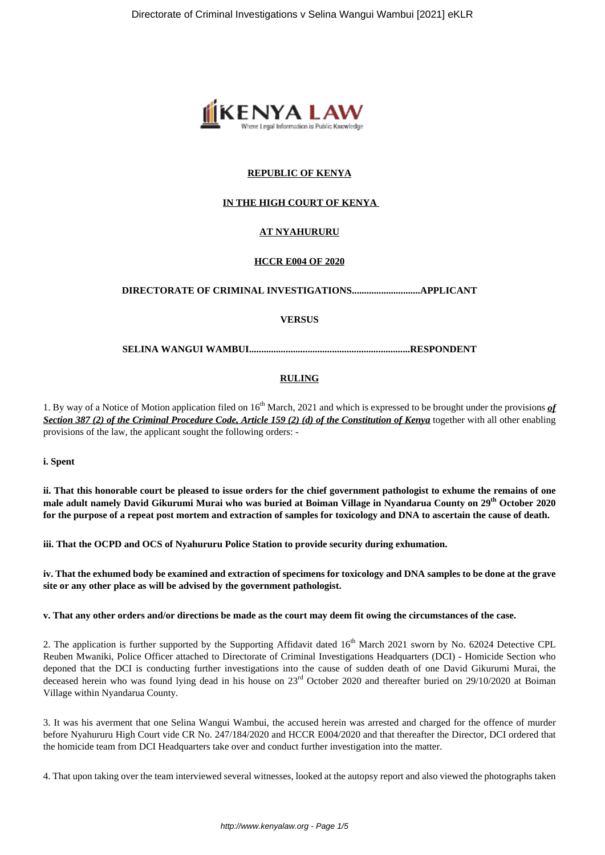

# **REPUBLIC OF KENYA**

# **IN THE HIGH COURT OF KENYA**

## **AT NYAHURURU**

### **HCCR E004 OF 2020**

### **DIRECTORATE OF CRIMINAL INVESTIGATIONS............................APPLICANT**

### **VERSUS**

### **SELINA WANGUI WAMBUI..................................................................RESPONDENT**

### **RULING**

1. By way of a Notice of Motion application filed on 16th March, 2021 and which is expressed to be brought under the provisions *of Section 387 (2) of the Criminal Procedure Code, Article 159 (2) (d) of the Constitution of Kenya* together with all other enabling provisions of the law, the applicant sought the following orders: -

**i. Spent**

**ii. That this honorable court be pleased to issue orders for the chief government pathologist to exhume the remains of one male adult namely David Gikurumi Murai who was buried at Boiman Village in Nyandarua County on 29th October 2020 for the purpose of a repeat post mortem and extraction of samples for toxicology and DNA to ascertain the cause of death.**

**iii. That the OCPD and OCS of Nyahururu Police Station to provide security during exhumation.**

**iv. That the exhumed body be examined and extraction of specimens for toxicology and DNA samples to be done at the grave site or any other place as will be advised by the government pathologist.**

**v. That any other orders and/or directions be made as the court may deem fit owing the circumstances of the case.**

2. The application is further supported by the Supporting Affidavit dated  $16<sup>th</sup>$  March 2021 sworn by No. 62024 Detective CPL Reuben Mwaniki, Police Officer attached to Directorate of Criminal Investigations Headquarters (DCI) - Homicide Section who deponed that the DCI is conducting further investigations into the cause of sudden death of one David Gikurumi Murai, the deceased herein who was found lying dead in his house on  $23<sup>rd</sup>$  October 2020 and thereafter buried on 29/10/2020 at Boiman Village within Nyandarua County.

3. It was his averment that one Selina Wangui Wambui, the accused herein was arrested and charged for the offence of murder before Nyahururu High Court vide CR No. 247/184/2020 and HCCR E004/2020 and that thereafter the Director, DCI ordered that the homicide team from DCI Headquarters take over and conduct further investigation into the matter.

4. That upon taking over the team interviewed several witnesses, looked at the autopsy report and also viewed the photographs taken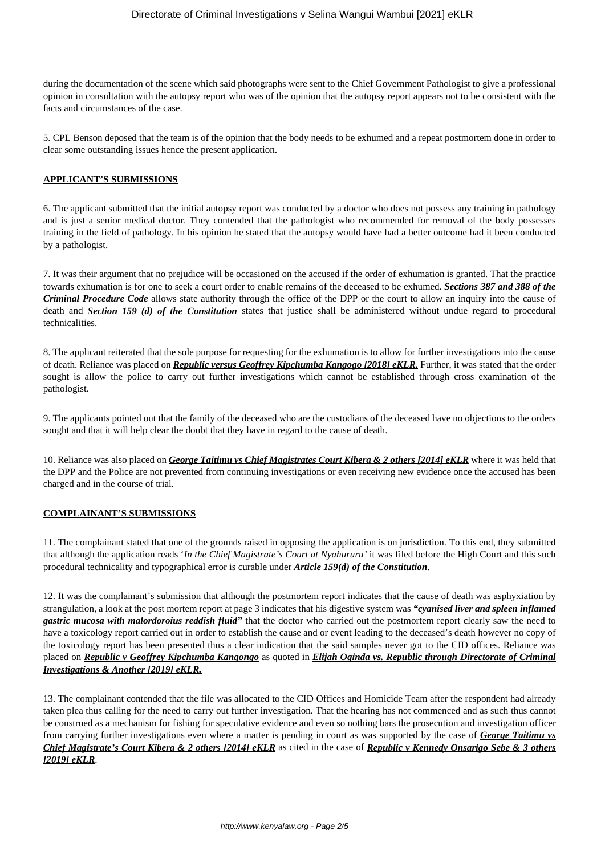during the documentation of the scene which said photographs were sent to the Chief Government Pathologist to give a professional opinion in consultation with the autopsy report who was of the opinion that the autopsy report appears not to be consistent with the facts and circumstances of the case.

5. CPL Benson deposed that the team is of the opinion that the body needs to be exhumed and a repeat postmortem done in order to clear some outstanding issues hence the present application.

## **APPLICANT'S SUBMISSIONS**

6. The applicant submitted that the initial autopsy report was conducted by a doctor who does not possess any training in pathology and is just a senior medical doctor. They contended that the pathologist who recommended for removal of the body possesses training in the field of pathology. In his opinion he stated that the autopsy would have had a better outcome had it been conducted by a pathologist.

7. It was their argument that no prejudice will be occasioned on the accused if the order of exhumation is granted. That the practice towards exhumation is for one to seek a court order to enable remains of the deceased to be exhumed. *Sections 387 and 388 of the Criminal Procedure Code* allows state authority through the office of the DPP or the court to allow an inquiry into the cause of death and *Section 159 (d) of the Constitution* states that justice shall be administered without undue regard to procedural technicalities.

8. The applicant reiterated that the sole purpose for requesting for the exhumation is to allow for further investigations into the cause of death. Reliance was placed on *Republic versus Geoffrey Kipchumba Kangogo [2018] eKLR.* Further, it was stated that the order sought is allow the police to carry out further investigations which cannot be established through cross examination of the pathologist.

9. The applicants pointed out that the family of the deceased who are the custodians of the deceased have no objections to the orders sought and that it will help clear the doubt that they have in regard to the cause of death.

10. Reliance was also placed on *George Taitimu vs Chief Magistrates Court Kibera & 2 others [2014] eKLR* where it was held that the DPP and the Police are not prevented from continuing investigations or even receiving new evidence once the accused has been charged and in the course of trial.

## **COMPLAINANT'S SUBMISSIONS**

11. The complainant stated that one of the grounds raised in opposing the application is on jurisdiction. To this end, they submitted that although the application reads '*In the Chief Magistrate's Court at Nyahururu'* it was filed before the High Court and this such procedural technicality and typographical error is curable under *Article 159(d) of the Constitution*.

12. It was the complainant's submission that although the postmortem report indicates that the cause of death was asphyxiation by strangulation, a look at the post mortem report at page 3 indicates that his digestive system was *"cyanised liver and spleen inflamed gastric mucosa with malordoroius reddish fluid"* that the doctor who carried out the postmortem report clearly saw the need to have a toxicology report carried out in order to establish the cause and or event leading to the deceased's death however no copy of the toxicology report has been presented thus a clear indication that the said samples never got to the CID offices. Reliance was placed on *Republic v Geoffrey Kipchumba Kangongo* as quoted in *Elijah Oginda vs. Republic through Directorate of Criminal Investigations & Another [2019] eKLR.*

13. The complainant contended that the file was allocated to the CID Offices and Homicide Team after the respondent had already taken plea thus calling for the need to carry out further investigation. That the hearing has not commenced and as such thus cannot be construed as a mechanism for fishing for speculative evidence and even so nothing bars the prosecution and investigation officer from carrying further investigations even where a matter is pending in court as was supported by the case of *George Taitimu vs Chief Magistrate's Court Kibera & 2 others [2014] eKLR* as cited in the case of *Republic v Kennedy Onsarigo Sebe & 3 others [2019] eKLR*.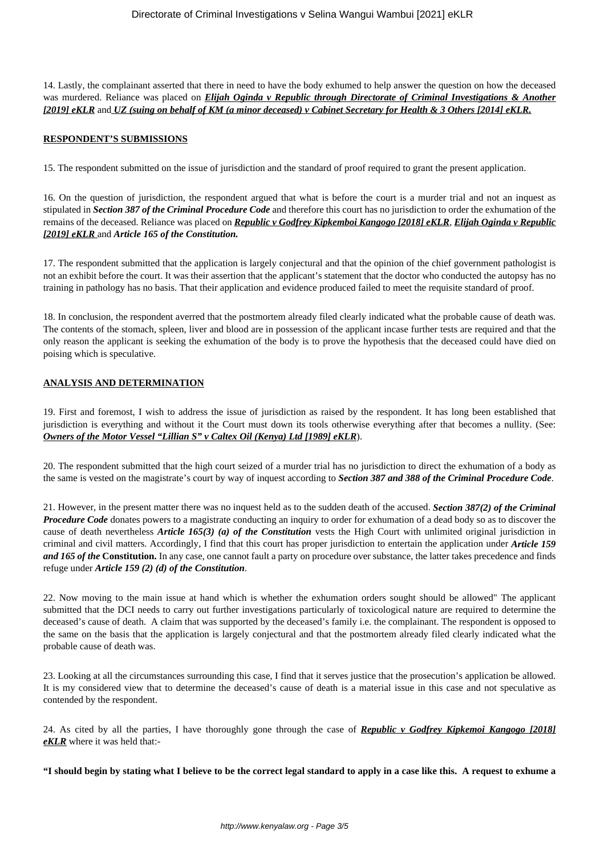14. Lastly, the complainant asserted that there in need to have the body exhumed to help answer the question on how the deceased was murdered. Reliance was placed on *Elijah Oginda v Republic through Directorate of Criminal Investigations & Another [2019] eKLR* and *UZ (suing on behalf of KM (a minor deceased) v Cabinet Secretary for Health & 3 Others [2014] eKLR.*

## **RESPONDENT'S SUBMISSIONS**

15. The respondent submitted on the issue of jurisdiction and the standard of proof required to grant the present application.

16. On the question of jurisdiction, the respondent argued that what is before the court is a murder trial and not an inquest as stipulated in *Section 387 of the Criminal Procedure Code* and therefore this court has no jurisdiction to order the exhumation of the remains of the deceased. Reliance was placed on *Republic v Godfrey Kipkemboi Kangogo [2018] eKLR*, *Elijah Oginda v Republic [2019] eKLR* and *Article 165 of the Constitution.*

17. The respondent submitted that the application is largely conjectural and that the opinion of the chief government pathologist is not an exhibit before the court. It was their assertion that the applicant's statement that the doctor who conducted the autopsy has no training in pathology has no basis. That their application and evidence produced failed to meet the requisite standard of proof.

18. In conclusion, the respondent averred that the postmortem already filed clearly indicated what the probable cause of death was. The contents of the stomach, spleen, liver and blood are in possession of the applicant incase further tests are required and that the only reason the applicant is seeking the exhumation of the body is to prove the hypothesis that the deceased could have died on poising which is speculative.

# **ANALYSIS AND DETERMINATION**

19. First and foremost, I wish to address the issue of jurisdiction as raised by the respondent. It has long been established that jurisdiction is everything and without it the Court must down its tools otherwise everything after that becomes a nullity. (See: *Owners of the Motor Vessel "Lillian S" v Caltex Oil (Kenya) Ltd [1989] eKLR*).

20. The respondent submitted that the high court seized of a murder trial has no jurisdiction to direct the exhumation of a body as the same is vested on the magistrate's court by way of inquest according to *Section 387 and 388 of the Criminal Procedure Code*.

21. However, in the present matter there was no inquest held as to the sudden death of the accused. *Section 387(2) of the Criminal Procedure Code* donates powers to a magistrate conducting an inquiry to order for exhumation of a dead body so as to discover the cause of death nevertheless *Article 165(3) (a) of the Constitution* vests the High Court with unlimited original jurisdiction in criminal and civil matters. Accordingly, I find that this court has proper jurisdiction to entertain the application under *Article 159 and 165 of the* **Constitution.** In any case, one cannot fault a party on procedure over substance, the latter takes precedence and finds refuge under *Article 159 (2) (d) of the Constitution*.

22. Now moving to the main issue at hand which is whether the exhumation orders sought should be allowed" The applicant submitted that the DCI needs to carry out further investigations particularly of toxicological nature are required to determine the deceased's cause of death. A claim that was supported by the deceased's family i.e. the complainant. The respondent is opposed to the same on the basis that the application is largely conjectural and that the postmortem already filed clearly indicated what the probable cause of death was.

23. Looking at all the circumstances surrounding this case, I find that it serves justice that the prosecution's application be allowed. It is my considered view that to determine the deceased's cause of death is a material issue in this case and not speculative as contended by the respondent.

24. As cited by all the parties, I have thoroughly gone through the case of *Republic v Godfrey Kipkemoi Kangogo [2018] eKLR* where it was held that:-

**"I should begin by stating what I believe to be the correct legal standard to apply in a case like this. A request to exhume a**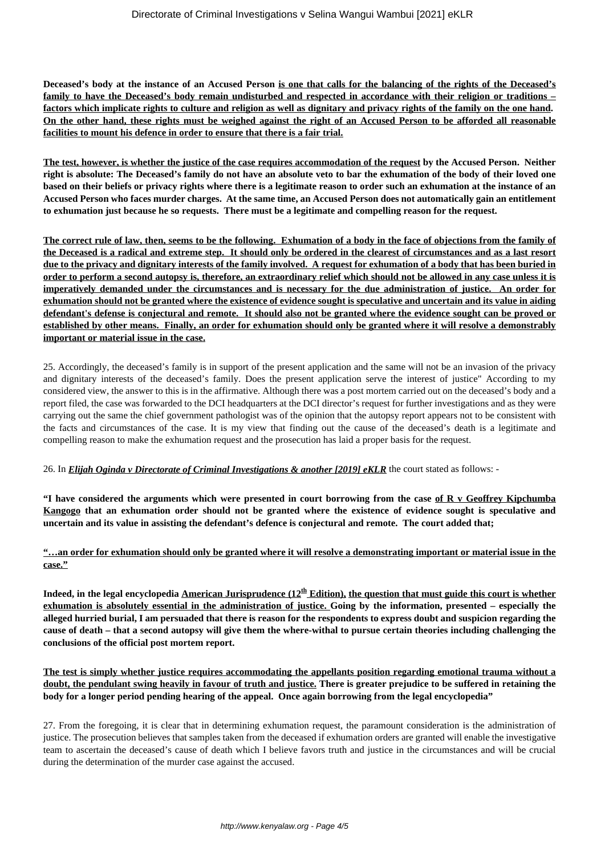**Deceased's body at the instance of an Accused Person is one that calls for the balancing of the rights of the Deceased's family to have the Deceased's body remain undisturbed and respected in accordance with their religion or traditions – factors which implicate rights to culture and religion as well as dignitary and privacy rights of the family on the one hand. On the other hand, these rights must be weighed against the right of an Accused Person to be afforded all reasonable facilities to mount his defence in order to ensure that there is a fair trial.**

**The test, however, is whether the justice of the case requires accommodation of the request by the Accused Person. Neither right is absolute: The Deceased's family do not have an absolute veto to bar the exhumation of the body of their loved one based on their beliefs or privacy rights where there is a legitimate reason to order such an exhumation at the instance of an Accused Person who faces murder charges. At the same time, an Accused Person does not automatically gain an entitlement to exhumation just because he so requests. There must be a legitimate and compelling reason for the request.**

**The correct rule of law, then, seems to be the following. Exhumation of a body in the face of objections from the family of the Deceased is a radical and extreme step. It should only be ordered in the clearest of circumstances and as a last resort due to the privacy and dignitary interests of the family involved. A request for exhumation of a body that has been buried in order to perform a second autopsy is, therefore, an extraordinary relief which should not be allowed in any case unless it is imperatively demanded under the circumstances and is necessary for the due administration of justice. An order for exhumation should not be granted where the existence of evidence sought is speculative and uncertain and its value in aiding defendant's defense is conjectural and remote. It should also not be granted where the evidence sought can be proved or established by other means. Finally, an order for exhumation should only be granted where it will resolve a demonstrably important or material issue in the case.**

25. Accordingly, the deceased's family is in support of the present application and the same will not be an invasion of the privacy and dignitary interests of the deceased's family. Does the present application serve the interest of justice" According to my considered view, the answer to this is in the affirmative. Although there was a post mortem carried out on the deceased's body and a report filed, the case was forwarded to the DCI headquarters at the DCI director's request for further investigations and as they were carrying out the same the chief government pathologist was of the opinion that the autopsy report appears not to be consistent with the facts and circumstances of the case. It is my view that finding out the cause of the deceased's death is a legitimate and compelling reason to make the exhumation request and the prosecution has laid a proper basis for the request.

26. In *Elijah Oginda v Directorate of Criminal Investigations & another [2019] eKLR* the court stated as follows: -

**"I have considered the arguments which were presented in court borrowing from the case of R v Geoffrey Kipchumba Kangogo that an exhumation order should not be granted where the existence of evidence sought is speculative and uncertain and its value in assisting the defendant's defence is conjectural and remote. The court added that;**

# **"…an order for exhumation should only be granted where it will resolve a demonstrating important or material issue in the case."**

**Indeed, in the legal encyclopedia American Jurisprudence (12th Edition), the question that must guide this court is whether exhumation is absolutely essential in the administration of justice. Going by the information, presented – especially the alleged hurried burial, I am persuaded that there is reason for the respondents to express doubt and suspicion regarding the cause of death – that a second autopsy will give them the where-withal to pursue certain theories including challenging the conclusions of the official post mortem report.**

**The test is simply whether justice requires accommodating the appellants position regarding emotional trauma without a doubt, the pendulant swing heavily in favour of truth and justice. There is greater prejudice to be suffered in retaining the body for a longer period pending hearing of the appeal. Once again borrowing from the legal encyclopedia"**

27. From the foregoing, it is clear that in determining exhumation request, the paramount consideration is the administration of justice. The prosecution believes that samples taken from the deceased if exhumation orders are granted will enable the investigative team to ascertain the deceased's cause of death which I believe favors truth and justice in the circumstances and will be crucial during the determination of the murder case against the accused.